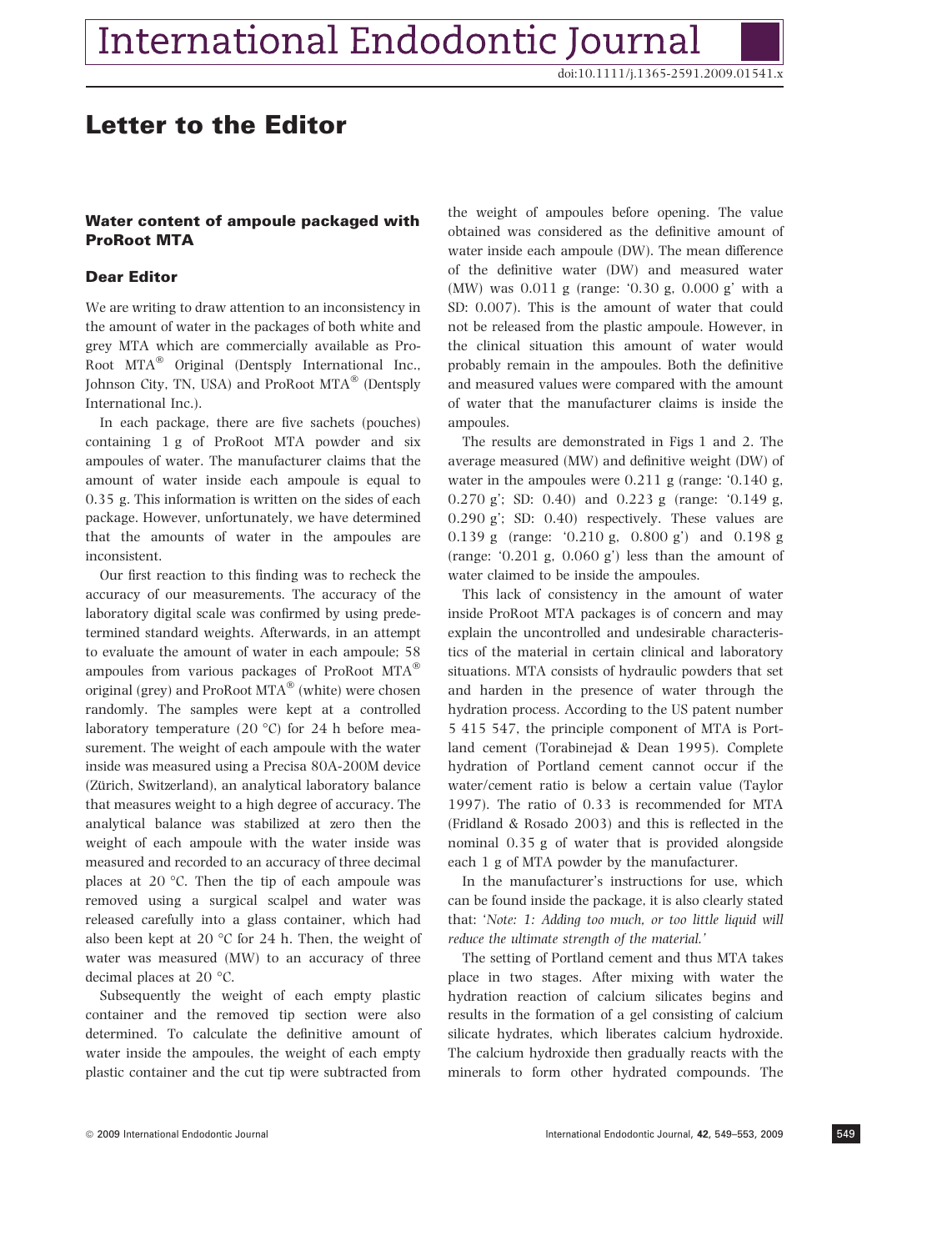# Letter to the Editor

## Water content of ampoule packaged with ProRoot MTA

#### Dear Editor

We are writing to draw attention to an inconsistency in the amount of water in the packages of both white and grey MTA which are commercially available as Pro-Root MTA® Original (Dentsply International Inc., Johnson City, TN, USA) and ProRoot  $MTA^{\circledast}$  (Dentsply International Inc.).

In each package, there are five sachets (pouches) containing 1 g of ProRoot MTA powder and six ampoules of water. The manufacturer claims that the amount of water inside each ampoule is equal to 0.35 g. This information is written on the sides of each package. However, unfortunately, we have determined that the amounts of water in the ampoules are inconsistent.

Our first reaction to this finding was to recheck the accuracy of our measurements. The accuracy of the laboratory digital scale was confirmed by using predetermined standard weights. Afterwards, in an attempt to evaluate the amount of water in each ampoule; 58 ampoules from various packages of ProRoot MTA® original (grey) and ProRoot MTA $^{\circledR}$  (white) were chosen randomly. The samples were kept at a controlled laboratory temperature (20  $^{\circ}$ C) for 24 h before measurement. The weight of each ampoule with the water inside was measured using a Precisa 80A-200M device (Zürich, Switzerland), an analytical laboratory balance that measures weight to a high degree of accuracy. The analytical balance was stabilized at zero then the weight of each ampoule with the water inside was measured and recorded to an accuracy of three decimal places at 20 $\degree$ C. Then the tip of each ampoule was removed using a surgical scalpel and water was released carefully into a glass container, which had also been kept at 20  $\degree$ C for 24 h. Then, the weight of water was measured (MW) to an accuracy of three decimal places at 20 °C.

Subsequently the weight of each empty plastic container and the removed tip section were also determined. To calculate the definitive amount of water inside the ampoules, the weight of each empty plastic container and the cut tip were subtracted from the weight of ampoules before opening. The value obtained was considered as the definitive amount of water inside each ampoule (DW). The mean difference of the definitive water (DW) and measured water (MW) was 0.011 g (range: '0.30 g, 0.000 g' with a SD: 0.007). This is the amount of water that could not be released from the plastic ampoule. However, in the clinical situation this amount of water would probably remain in the ampoules. Both the definitive and measured values were compared with the amount of water that the manufacturer claims is inside the ampoules.

The results are demonstrated in Figs 1 and 2. The average measured (MW) and definitive weight (DW) of water in the ampoules were  $0.211$  g (range: ' $0.140$  g, 0.270 g'; SD: 0.40) and 0.223 g (range: '0.149 g, 0.290 g'; SD: 0.40) respectively. These values are 0.139 g (range: '0.210 g, 0.800 g') and 0.198 g (range: '0.201 g, 0.060 g') less than the amount of water claimed to be inside the ampoules.

This lack of consistency in the amount of water inside ProRoot MTA packages is of concern and may explain the uncontrolled and undesirable characteristics of the material in certain clinical and laboratory situations. MTA consists of hydraulic powders that set and harden in the presence of water through the hydration process. According to the US patent number 5 415 547, the principle component of MTA is Portland cement (Torabinejad & Dean 1995). Complete hydration of Portland cement cannot occur if the water/cement ratio is below a certain value (Taylor 1997). The ratio of 0.33 is recommended for MTA (Fridland & Rosado 2003) and this is reflected in the nominal 0.35 g of water that is provided alongside each 1 g of MTA powder by the manufacturer.

In the manufacturer's instructions for use, which can be found inside the package, it is also clearly stated that: 'Note: 1: Adding too much, or too little liquid will reduce the ultimate strength of the material.'

The setting of Portland cement and thus MTA takes place in two stages. After mixing with water the hydration reaction of calcium silicates begins and results in the formation of a gel consisting of calcium silicate hydrates, which liberates calcium hydroxide. The calcium hydroxide then gradually reacts with the minerals to form other hydrated compounds. The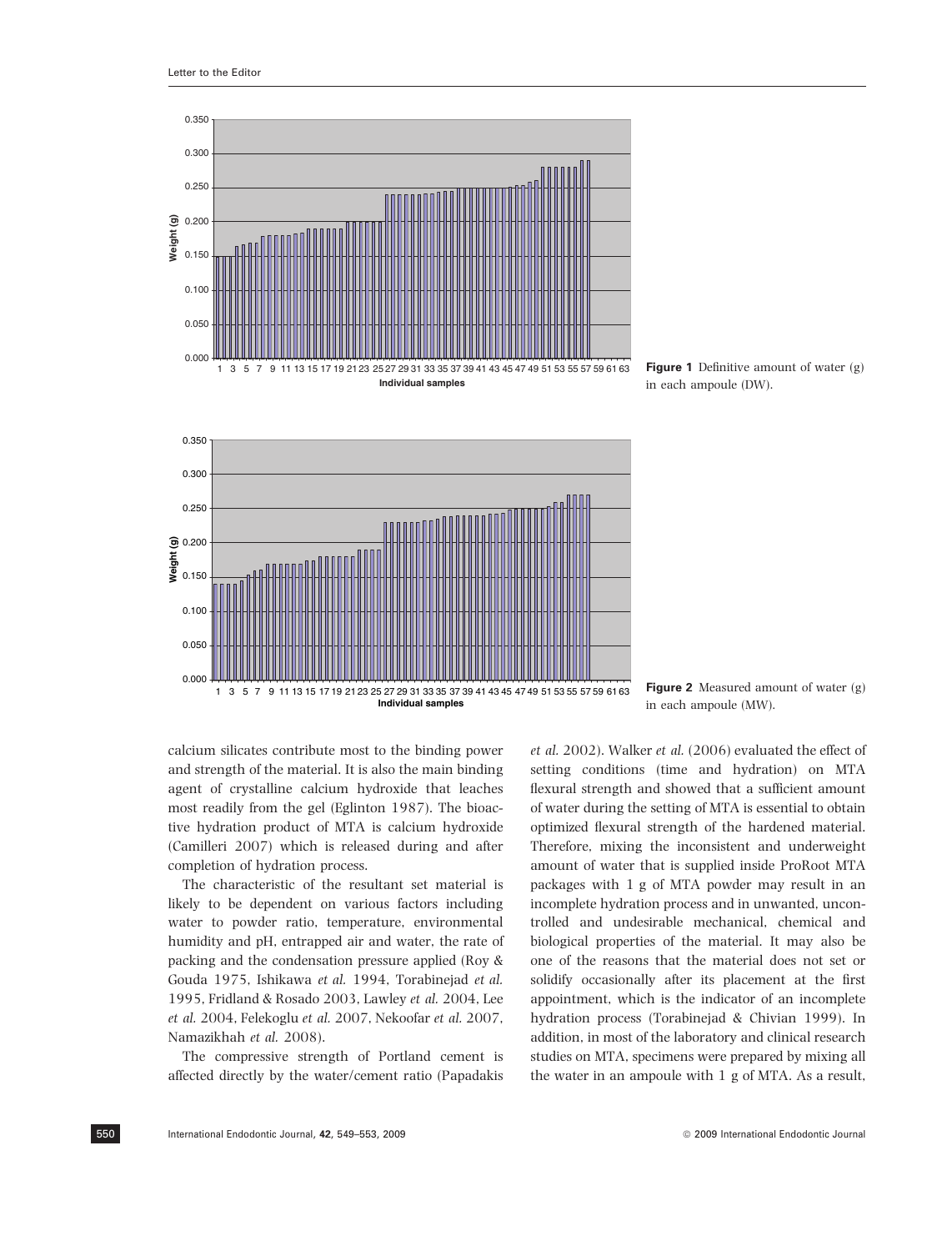

Figure 1 Definitive amount of water (g) in each ampoule (DW).



Figure 2 Measured amount of water (g) in each ampoule (MW).

calcium silicates contribute most to the binding power and strength of the material. It is also the main binding agent of crystalline calcium hydroxide that leaches most readily from the gel (Eglinton 1987). The bioactive hydration product of MTA is calcium hydroxide (Camilleri 2007) which is released during and after completion of hydration process.

The characteristic of the resultant set material is likely to be dependent on various factors including water to powder ratio, temperature, environmental humidity and pH, entrapped air and water, the rate of packing and the condensation pressure applied (Roy & Gouda 1975, Ishikawa et al. 1994, Torabinejad et al. 1995, Fridland & Rosado 2003, Lawley et al. 2004, Lee et al. 2004, Felekoglu et al. 2007, Nekoofar et al. 2007, Namazikhah et al. 2008).

The compressive strength of Portland cement is affected directly by the water/cement ratio (Papadakis et al. 2002). Walker et al. (2006) evaluated the effect of setting conditions (time and hydration) on MTA flexural strength and showed that a sufficient amount of water during the setting of MTA is essential to obtain optimized flexural strength of the hardened material. Therefore, mixing the inconsistent and underweight amount of water that is supplied inside ProRoot MTA packages with 1 g of MTA powder may result in an incomplete hydration process and in unwanted, uncontrolled and undesirable mechanical, chemical and biological properties of the material. It may also be one of the reasons that the material does not set or solidify occasionally after its placement at the first appointment, which is the indicator of an incomplete hydration process (Torabinejad & Chivian 1999). In addition, in most of the laboratory and clinical research studies on MTA, specimens were prepared by mixing all the water in an ampoule with 1 g of MTA. As a result,